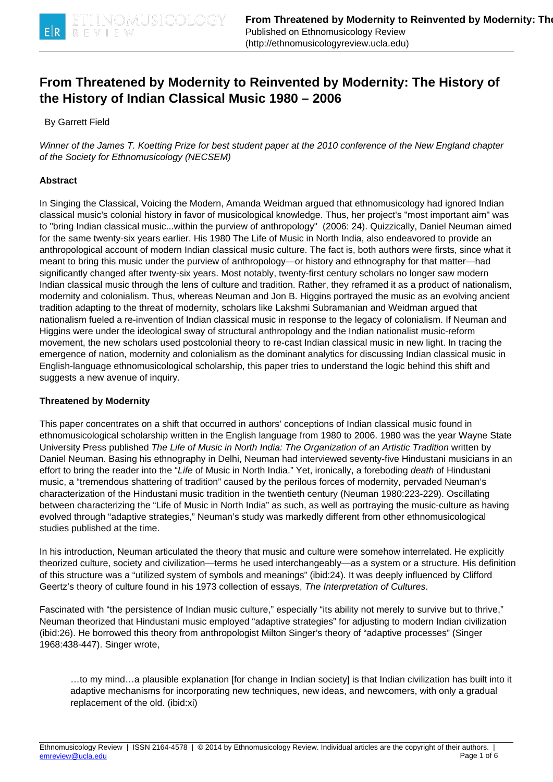

# **From Threatened by Modernity to Reinvented by Modernity: The History of the History of Indian Classical Music 1980 – 2006**

By Garrett Field

Winner of the James T. Koetting Prize for best student paper at the 2010 conference of the New England chapter of the Society for Ethnomusicology (NECSEM)

## **Abstract**

In Singing the Classical, Voicing the Modern, Amanda Weidman argued that ethnomusicology had ignored Indian classical music's colonial history in favor of musicological knowledge. Thus, her project's "most important aim" was to "bring Indian classical music...within the purview of anthropology" (2006: 24). Quizzically, Daniel Neuman aimed for the same twenty-six years earlier. His 1980 The Life of Music in North India, also endeavored to provide an anthropological account of modern Indian classical music culture. The fact is, both authors were firsts, since what it meant to bring this music under the purview of anthropology—or history and ethnography for that matter—had significantly changed after twenty-six years. Most notably, twenty-first century scholars no longer saw modern Indian classical music through the lens of culture and tradition. Rather, they reframed it as a product of nationalism, modernity and colonialism. Thus, whereas Neuman and Jon B. Higgins portrayed the music as an evolving ancient tradition adapting to the threat of modernity, scholars like Lakshmi Subramanian and Weidman argued that nationalism fueled a re-invention of Indian classical music in response to the legacy of colonialism. If Neuman and Higgins were under the ideological sway of structural anthropology and the Indian nationalist music-reform movement, the new scholars used postcolonial theory to re-cast Indian classical music in new light. In tracing the emergence of nation, modernity and colonialism as the dominant analytics for discussing Indian classical music in English-language ethnomusicological scholarship, this paper tries to understand the logic behind this shift and suggests a new avenue of inquiry.

#### **Threatened by Modernity**

This paper concentrates on a shift that occurred in authors' conceptions of Indian classical music found in ethnomusicological scholarship written in the English language from 1980 to 2006. 1980 was the year Wayne State University Press published The Life of Music in North India: The Organization of an Artistic Tradition written by Daniel Neuman. Basing his ethnography in Delhi, Neuman had interviewed seventy-five Hindustani musicians in an effort to bring the reader into the "Life of Music in North India." Yet, ironically, a foreboding *death* of Hindustani music, a "tremendous shattering of tradition" caused by the perilous forces of modernity, pervaded Neuman's characterization of the Hindustani music tradition in the twentieth century (Neuman 1980:223-229). Oscillating between characterizing the "Life of Music in North India" as such, as well as portraying the music-culture as having evolved through "adaptive strategies," Neuman's study was markedly different from other ethnomusicological studies published at the time.

In his introduction, Neuman articulated the theory that music and culture were somehow interrelated. He explicitly theorized culture, society and civilization—terms he used interchangeably—as a system or a structure. His definition of this structure was a "utilized system of symbols and meanings" (ibid:24). It was deeply influenced by Clifford Geertz's theory of culture found in his 1973 collection of essays, The Interpretation of Cultures.

Fascinated with "the persistence of Indian music culture," especially "its ability not merely to survive but to thrive," Neuman theorized that Hindustani music employed "adaptive strategies" for adjusting to modern Indian civilization (ibid:26). He borrowed this theory from anthropologist Milton Singer's theory of "adaptive processes" (Singer 1968:438-447). Singer wrote,

…to my mind…a plausible explanation [for change in Indian society] is that Indian civilization has built into it adaptive mechanisms for incorporating new techniques, new ideas, and newcomers, with only a gradual replacement of the old. (ibid:xi)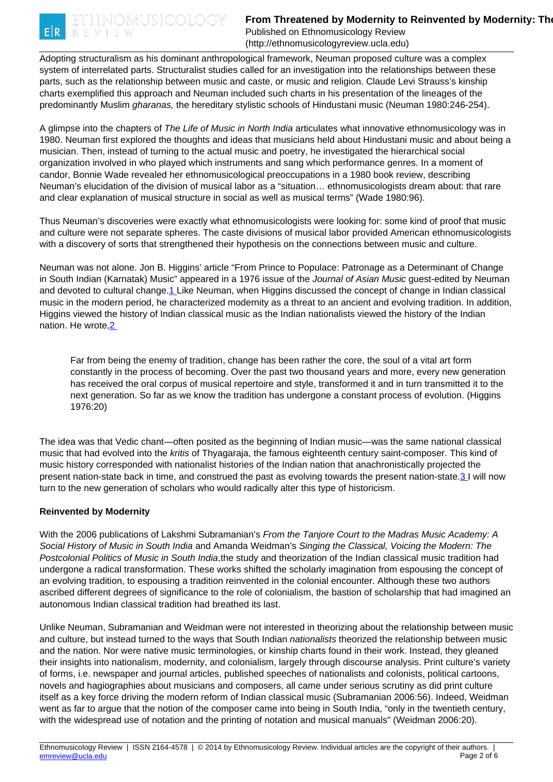<span id="page-1-0"></span>

# **From Threatened by Modernity to Reinvented by Modernity: The History of Duman Classic Indian Classic Indian Classic Indian Classic Indian Classic Indian Classic Indian Classic Indian Classic Indian Classic Indian Classic**

Published on Ethnomusicology Review (http://ethnomusicologyreview.ucla.edu)

Adopting structuralism as his dominant anthropological framework, Neuman proposed culture was a complex system of interrelated parts. Structuralist studies called for an investigation into the relationships between these parts, such as the relationship between music and caste, or music and religion. Claude Levi Strauss's kinship charts exemplified this approach and Neuman included such charts in his presentation of the lineages of the predominantly Muslim *gharanas*, the hereditary stylistic schools of Hindustani music (Neuman 1980:246-254).

A glimpse into the chapters of The Life of Music in North India articulates what innovative ethnomusicology was in 1980. Neuman first explored the thoughts and ideas that musicians held about Hindustani music and about being a musician. Then, instead of turning to the actual music and poetry, he investigated the hierarchical social organization involved in who played which instruments and sang which performance genres. In a moment of candor, Bonnie Wade revealed her ethnomusicological preoccupations in a 1980 book review, describing Neuman's elucidation of the division of musical labor as a "situation… ethnomusicologists dream about: that rare and clear explanation of musical structure in social as well as musical terms" (Wade 1980:96).

Thus Neuman's discoveries were exactly what ethnomusicologists were looking for: some kind of proof that music and culture were not separate spheres. The caste divisions of musical labor provided American ethnomusicologists with a discovery of sorts that strengthened their hypothesis on the connections between music and culture.

Neuman was not alone. Jon B. Higgins' article "From Prince to Populace: Patronage as a Determinant of Change in South Indian (Karnatak) Music" appeared in a 1976 issue of the Journal of Asian Music quest-edited by Neuman and devoted to cultural change[.1](#page-1-0) Like Neuman, when Higgins discussed the concept of change in Indian classical music in the modern period, he characterized modernity as a threat to an ancient and evolving tradition. In addition, Higgins viewed the history of Indian classical music as the Indian nationalists viewed the history of the Indian nation. He wrote[,2](#page-1-0) 

Far from being the enemy of tradition, change has been rather the core, the soul of a vital art form constantly in the process of becoming. Over the past two thousand years and more, every new generation has received the oral corpus of musical repertoire and style, transformed it and in turn transmitted it to the next generation. So far as we know the tradition has undergone a constant process of evolution. (Higgins 1976:20)

The idea was that Vedic chant—often posited as the beginning of Indian music—was the same national classical music that had evolved into the kritis of Thyagaraja, the famous eighteenth century saint-composer. This kind of music history corresponded with nationalist histories of the Indian nation that anachronistically projected the present nation-state back in time, and construed the past as evolving towards the present nation-state.[3 I](#page-1-0) will now turn to the new generation of scholars who would radically alter this type of historicism.

## **Reinvented by Modernity**

With the 2006 publications of Lakshmi Subramanian's From the Tanjore Court to the Madras Music Academy: A Social History of Music in South India and Amanda Weidman's Singing the Classical, Voicing the Modern: The Postcolonial Politics of Music in South India,the study and theorization of the Indian classical music tradition had undergone a radical transformation. These works shifted the scholarly imagination from espousing the concept of an evolving tradition, to espousing a tradition reinvented in the colonial encounter. Although these two authors ascribed different degrees of significance to the role of colonialism, the bastion of scholarship that had imagined an autonomous Indian classical tradition had breathed its last.

Unlike Neuman, Subramanian and Weidman were not interested in theorizing about the relationship between music and culture, but instead turned to the ways that South Indian *nationalists* theorized the relationship between music and the nation. Nor were native music terminologies, or kinship charts found in their work. Instead, they gleaned their insights into nationalism, modernity, and colonialism, largely through discourse analysis. Print culture's variety of forms, i.e. newspaper and journal articles, published speeches of nationalists and colonists, political cartoons, novels and hagiographies about musicians and composers, all came under serious scrutiny as did print culture itself as a key force driving the modern reform of Indian classical music (Subramanian 2006:56). Indeed, Weidman went as far to argue that the notion of the composer came into being in South India, "only in the twentieth century, with the widespread use of notation and the printing of notation and musical manuals" (Weidman 2006:20).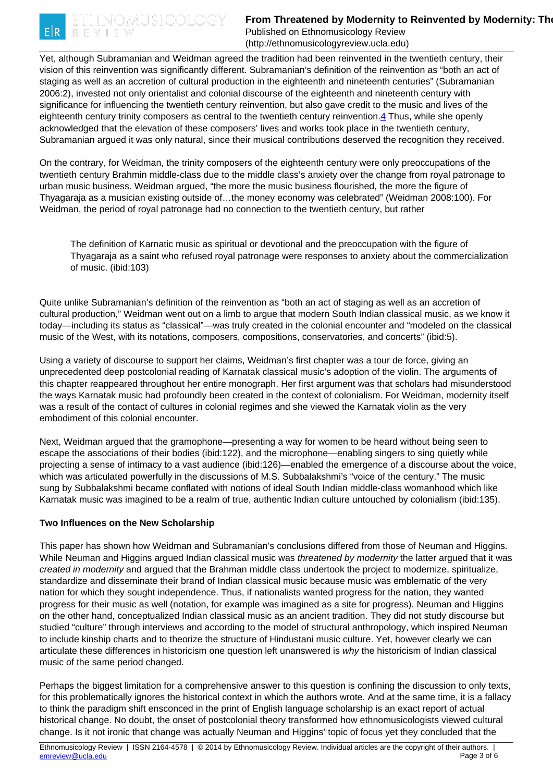<span id="page-2-0"></span>

# **From Threatened by Modernity to Reinvented by Modernity: The History of Duman Classic Indian Classic Indian Classic Indian Classic Indian Classic Indian Classic Indian Classic Indian Classic Indian Classic Indian Classic**

Published on Ethnomusicology Review (http://ethnomusicologyreview.ucla.edu)

Yet, although Subramanian and Weidman agreed the tradition had been reinvented in the twentieth century, their vision of this reinvention was significantly different. Subramanian's definition of the reinvention as "both an act of staging as well as an accretion of cultural production in the eighteenth and nineteenth centuries" (Subramanian 2006:2), invested not only orientalist and colonial discourse of the eighteenth and nineteenth century with significance for influencing the twentieth century reinvention, but also gave credit to the music and lives of the eighteenth century trinity composers as central to the twentieth century reinvention.[4](#page-2-0) Thus, while she openly acknowledged that the elevation of these composers' lives and works took place in the twentieth century, Subramanian argued it was only natural, since their musical contributions deserved the recognition they received.

On the contrary, for Weidman, the trinity composers of the eighteenth century were only preoccupations of the twentieth century Brahmin middle-class due to the middle class's anxiety over the change from royal patronage to urban music business. Weidman argued, "the more the music business flourished, the more the figure of Thyagaraja as a musician existing outside of…the money economy was celebrated" (Weidman 2008:100). For Weidman, the period of royal patronage had no connection to the twentieth century, but rather

The definition of Karnatic music as spiritual or devotional and the preoccupation with the figure of Thyagaraja as a saint who refused royal patronage were responses to anxiety about the commercialization of music. (ibid:103)

Quite unlike Subramanian's definition of the reinvention as "both an act of staging as well as an accretion of cultural production," Weidman went out on a limb to argue that modern South Indian classical music, as we know it today—including its status as "classical"—was truly created in the colonial encounter and "modeled on the classical music of the West, with its notations, composers, compositions, conservatories, and concerts" (ibid:5).

Using a variety of discourse to support her claims, Weidman's first chapter was a tour de force, giving an unprecedented deep postcolonial reading of Karnatak classical music's adoption of the violin. The arguments of this chapter reappeared throughout her entire monograph. Her first argument was that scholars had misunderstood the ways Karnatak music had profoundly been created in the context of colonialism. For Weidman, modernity itself was a result of the contact of cultures in colonial regimes and she viewed the Karnatak violin as the very embodiment of this colonial encounter.

Next, Weidman argued that the gramophone—presenting a way for women to be heard without being seen to escape the associations of their bodies (ibid:122), and the microphone—enabling singers to sing quietly while projecting a sense of intimacy to a vast audience (ibid:126)—enabled the emergence of a discourse about the voice, which was articulated powerfully in the discussions of M.S. Subbalakshmi's "voice of the century." The music sung by Subbalakshmi became conflated with notions of ideal South Indian middle-class womanhood which like Karnatak music was imagined to be a realm of true, authentic Indian culture untouched by colonialism (ibid:135).

## **Two Influences on the New Scholarship**

This paper has shown how Weidman and Subramanian's conclusions differed from those of Neuman and Higgins. While Neuman and Higgins argued Indian classical music was *threatened by modernity* the latter argued that it was created in modernity and argued that the Brahman middle class undertook the project to modernize, spiritualize, standardize and disseminate their brand of Indian classical music because music was emblematic of the very nation for which they sought independence. Thus, if nationalists wanted progress for the nation, they wanted progress for their music as well (notation, for example was imagined as a site for progress). Neuman and Higgins on the other hand, conceptualized Indian classical music as an ancient tradition. They did not study discourse but studied "culture" through interviews and according to the model of structural anthropology, which inspired Neuman to include kinship charts and to theorize the structure of Hindustani music culture. Yet, however clearly we can articulate these differences in historicism one question left unanswered is why the historicism of Indian classical music of the same period changed.

Perhaps the biggest limitation for a comprehensive answer to this question is confining the discussion to only texts, for this problematically ignores the historical context in which the authors wrote. And at the same time, it is a fallacy to think the paradigm shift ensconced in the print of English language scholarship is an exact report of actual historical change. No doubt, the onset of postcolonial theory transformed how ethnomusicologists viewed cultural change. Is it not ironic that change was actually Neuman and Higgins' topic of focus yet they concluded that the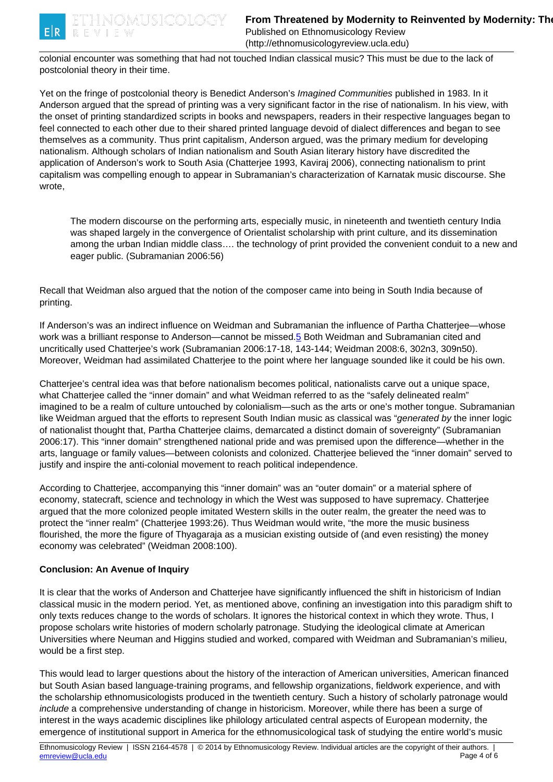<span id="page-3-0"></span>

(http://ethnomusicologyreview.ucla.edu)

colonial encounter was something that had not touched Indian classical music? This must be due to the lack of postcolonial theory in their time.

Yet on the fringe of postcolonial theory is Benedict Anderson's Imagined Communities published in 1983. In it Anderson argued that the spread of printing was a very significant factor in the rise of nationalism. In his view, with the onset of printing standardized scripts in books and newspapers, readers in their respective languages began to feel connected to each other due to their shared printed language devoid of dialect differences and began to see themselves as a community. Thus print capitalism, Anderson argued, was the primary medium for developing nationalism. Although scholars of Indian nationalism and South Asian literary history have discredited the application of Anderson's work to South Asia (Chatterjee 1993, Kaviraj 2006), connecting nationalism to print capitalism was compelling enough to appear in Subramanian's characterization of Karnatak music discourse. She wrote,

The modern discourse on the performing arts, especially music, in nineteenth and twentieth century India was shaped largely in the convergence of Orientalist scholarship with print culture, and its dissemination among the urban Indian middle class…. the technology of print provided the convenient conduit to a new and eager public. (Subramanian 2006:56)

Recall that Weidman also argued that the notion of the composer came into being in South India because of printing.

If Anderson's was an indirect influence on Weidman and Subramanian the influence of Partha Chatterjee—whose work was a brilliant response to Anderson—cannot be missed.[5](#page-3-0) Both Weidman and Subramanian cited and uncritically used Chatterjee's work (Subramanian 2006:17-18, 143-144; Weidman 2008:6, 302n3, 309n50). Moreover, Weidman had assimilated Chatterjee to the point where her language sounded like it could be his own.

Chatterjee's central idea was that before nationalism becomes political, nationalists carve out a unique space, what Chatterjee called the "inner domain" and what Weidman referred to as the "safely delineated realm" imagined to be a realm of culture untouched by colonialism—such as the arts or one's mother tongue. Subramanian like Weidman argued that the efforts to represent South Indian music as classical was "generated by the inner logic of nationalist thought that, Partha Chatterjee claims, demarcated a distinct domain of sovereignty" (Subramanian 2006:17). This "inner domain" strengthened national pride and was premised upon the difference—whether in the arts, language or family values—between colonists and colonized. Chatterjee believed the "inner domain" served to justify and inspire the anti-colonial movement to reach political independence.

According to Chatterjee, accompanying this "inner domain" was an "outer domain" or a material sphere of economy, statecraft, science and technology in which the West was supposed to have supremacy. Chatterjee argued that the more colonized people imitated Western skills in the outer realm, the greater the need was to protect the "inner realm" (Chatterjee 1993:26). Thus Weidman would write, "the more the music business flourished, the more the figure of Thyagaraja as a musician existing outside of (and even resisting) the money economy was celebrated" (Weidman 2008:100).

## **Conclusion: An Avenue of Inquiry**

It is clear that the works of Anderson and Chatterjee have significantly influenced the shift in historicism of Indian classical music in the modern period. Yet, as mentioned above, confining an investigation into this paradigm shift to only texts reduces change to the words of scholars. It ignores the historical context in which they wrote. Thus, I propose scholars write histories of modern scholarly patronage. Studying the ideological climate at American Universities where Neuman and Higgins studied and worked, compared with Weidman and Subramanian's milieu, would be a first step.

This would lead to larger questions about the history of the interaction of American universities, American financed but South Asian based language-training programs, and fellowship organizations, fieldwork experience, and with the scholarship ethnomusicologists produced in the twentieth century. Such a history of scholarly patronage would include a comprehensive understanding of change in historicism. Moreover, while there has been a surge of interest in the ways academic disciplines like philology articulated central aspects of European modernity, the emergence of institutional support in America for the ethnomusicological task of studying the entire world's music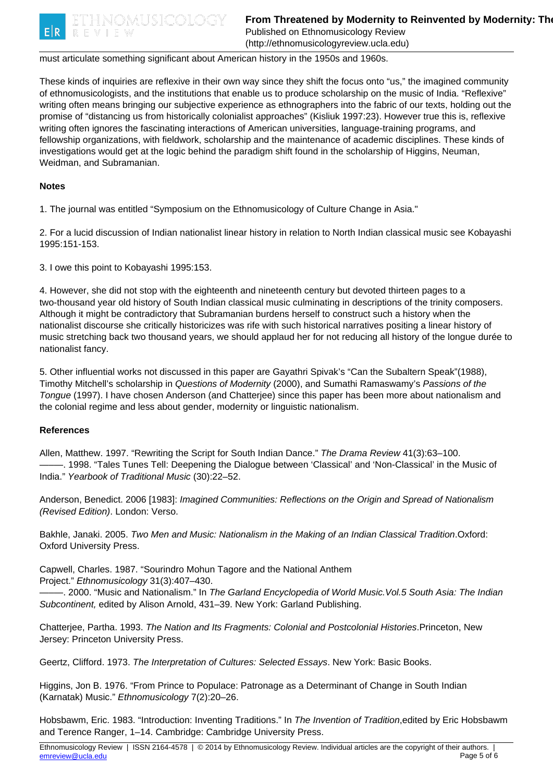

(http://ethnomusicologyreview.ucla.edu)

#### must articulate something significant about American history in the 1950s and 1960s.

These kinds of inquiries are reflexive in their own way since they shift the focus onto "us," the imagined community of ethnomusicologists, and the institutions that enable us to produce scholarship on the music of India. "Reflexive" writing often means bringing our subjective experience as ethnographers into the fabric of our texts, holding out the promise of "distancing us from historically colonialist approaches" (Kisliuk 1997:23). However true this is, reflexive writing often ignores the fascinating interactions of American universities, language-training programs, and fellowship organizations, with fieldwork, scholarship and the maintenance of academic disciplines. These kinds of investigations would get at the logic behind the paradigm shift found in the scholarship of Higgins, Neuman, Weidman, and Subramanian.

#### **Notes**

1. The journal was entitled "Symposium on the Ethnomusicology of Culture Change in Asia."

2. For a lucid discussion of Indian nationalist linear history in relation to North Indian classical music see Kobayashi 1995:151-153.

3. I owe this point to Kobayashi 1995:153.

4. However, she did not stop with the eighteenth and nineteenth century but devoted thirteen pages to a two-thousand year old history of South Indian classical music culminating in descriptions of the trinity composers. Although it might be contradictory that Subramanian burdens herself to construct such a history when the nationalist discourse she critically historicizes was rife with such historical narratives positing a linear history of music stretching back two thousand years, we should applaud her for not reducing all history of the longue durée to nationalist fancy.

5. Other influential works not discussed in this paper are Gayathri Spivak's "Can the Subaltern Speak"(1988), Timothy Mitchell's scholarship in Questions of Modernity (2000), and Sumathi Ramaswamy's Passions of the Tongue (1997). I have chosen Anderson (and Chatterjee) since this paper has been more about nationalism and the colonial regime and less about gender, modernity or linguistic nationalism.

## **References**

Allen, Matthew. 1997. "Rewriting the Script for South Indian Dance." The Drama Review 41(3):63–100. -. 1998. "Tales Tunes Tell: Deepening the Dialogue between 'Classical' and 'Non-Classical' in the Music of India." Yearbook of Traditional Music (30):22–52.

Anderson, Benedict. 2006 [1983]: Imagined Communities: Reflections on the Origin and Spread of Nationalism (Revised Edition). London: Verso.

Bakhle, Janaki. 2005. Two Men and Music: Nationalism in the Making of an Indian Classical Tradition.Oxford: Oxford University Press.

Capwell, Charles. 1987. "Sourindro Mohun Tagore and the National Anthem Project." Ethnomusicology 31(3):407–430.

-. 2000. "Music and Nationalism." In The Garland Encyclopedia of World Music. Vol.5 South Asia: The Indian Subcontinent, edited by Alison Arnold, 431–39. New York: Garland Publishing.

Chatterjee, Partha. 1993. The Nation and Its Fragments: Colonial and Postcolonial Histories.Princeton, New Jersey: Princeton University Press.

Geertz, Clifford. 1973. The Interpretation of Cultures: Selected Essays. New York: Basic Books.

Higgins, Jon B. 1976. "From Prince to Populace: Patronage as a Determinant of Change in South Indian (Karnatak) Music." Ethnomusicology 7(2):20–26.

Hobsbawm, Eric. 1983. "Introduction: Inventing Traditions." In The Invention of Tradition, edited by Eric Hobsbawm and Terence Ranger, 1–14. Cambridge: Cambridge University Press.